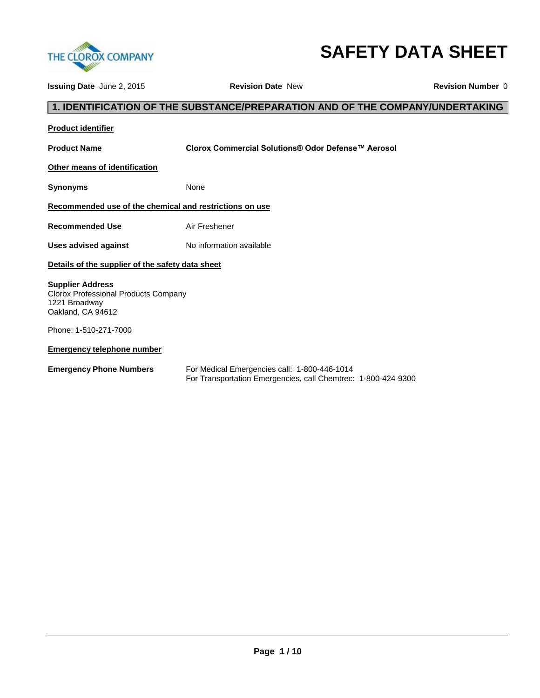

# **SAFETY DATA SHEET**

**Issuing Date** June 2, 2015 **Revision Date** New **Revision Number** 0

# **1. IDENTIFICATION OF THE SUBSTANCE/PREPARATION AND OF THE COMPANY/UNDERTAKING**

| <b>Product identifier</b>                                                                             |                                                                                                               |  |  |  |
|-------------------------------------------------------------------------------------------------------|---------------------------------------------------------------------------------------------------------------|--|--|--|
| <b>Product Name</b>                                                                                   | Clorox Commercial Solutions® Odor Defense™ Aerosol                                                            |  |  |  |
| Other means of identification                                                                         |                                                                                                               |  |  |  |
| Synonyms                                                                                              | None                                                                                                          |  |  |  |
| Recommended use of the chemical and restrictions on use                                               |                                                                                                               |  |  |  |
| <b>Recommended Use</b>                                                                                | Air Freshener                                                                                                 |  |  |  |
| <b>Uses advised against</b>                                                                           | No information available                                                                                      |  |  |  |
| Details of the supplier of the safety data sheet                                                      |                                                                                                               |  |  |  |
| <b>Supplier Address</b><br>Clorox Professional Products Company<br>1221 Broadway<br>Oakland, CA 94612 |                                                                                                               |  |  |  |
| Phone: 1-510-271-7000                                                                                 |                                                                                                               |  |  |  |
| <b>Emergency telephone number</b>                                                                     |                                                                                                               |  |  |  |
| <b>Emergency Phone Numbers</b>                                                                        | For Medical Emergencies call: 1-800-446-1014<br>For Transportation Emergencies, call Chemtrec: 1-800-424-9300 |  |  |  |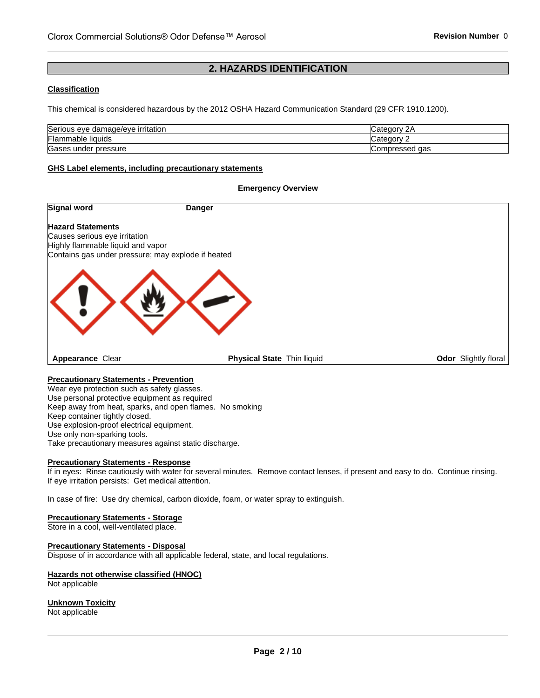# **2. HAZARDS IDENTIFICATION**

#### **Classification**

This chemical is considered hazardous by the 2012 OSHA Hazard Communication Standard (29 CFR 1910.1200).

| Serious eye damage/eye irritation   | ∵ ategoryٽ<br>∠⊬         |
|-------------------------------------|--------------------------|
| Flammable liquids                   | ∵ategorv س               |
| <b>-</b><br>pressure<br>Gases under | aas<br><b>Compressed</b> |

**Emergency Overview** 

#### **GHS Label elements, including precautionary statements**

# **Signal word** Danger **Hazard Statements** Causes serious eye irritation Highly flammable liquid and vapor Contains gas under pressure; may explode if heated **Appearance** Clear **Physical State** Thin **l**iquid **Odor** Slightly floral

#### **Precautionary Statements - Prevention**

Wear eye protection such as safety glasses. Use personal protective equipment as required Keep away from heat, sparks, and open flames. No smoking Keep container tightly closed. Use explosion-proof electrical equipment. Use only non-sparking tools. Take precautionary measures against static discharge.

#### **Precautionary Statements - Response**

If in eyes: Rinse cautiously with water for several minutes. Remove contact lenses, if present and easy to do. Continue rinsing. If eye irritation persists: Get medical attention.

In case of fire: Use dry chemical, carbon dioxide, foam, or water spray to extinguish.

#### **Precautionary Statements - Storage**

Store in a cool, well-ventilated place.

#### **Precautionary Statements - Disposal**

Dispose of in accordance with all applicable federal, state, and local regulations.

#### **Hazards not otherwise classified (HNOC)** Not applicable

**Unknown Toxicity** Not applicable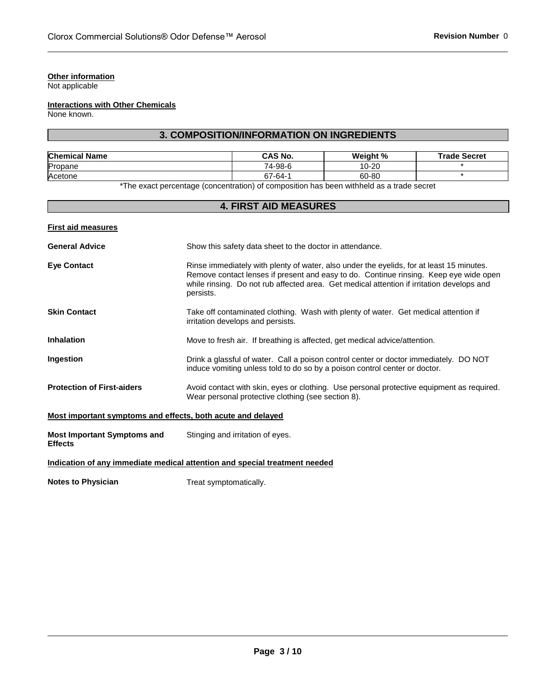#### **Other information**

Not applicable

# **Interactions with Other Chemicals**

None known.

# **3. COMPOSITION/INFORMATION ON INGREDIENTS**

| <b>Chemical Name</b> | <b>CAS No.</b> | Weight % | <b>Trade Secret</b> |
|----------------------|----------------|----------|---------------------|
| Propane              | 74-98-6        | 10-20    |                     |
| Acetone              | 67-64-1        | 60-80    |                     |

\*The exact percentage (concentration) of composition has been withheld as a trade secret

# **4. FIRST AID MEASURES**

|  | <b>First aid measures</b> |
|--|---------------------------|
|  |                           |
|  |                           |

| <b>General Advice</b>                                       | Show this safety data sheet to the doctor in attendance.                                                                                                                                                                                                                                    |  |  |
|-------------------------------------------------------------|---------------------------------------------------------------------------------------------------------------------------------------------------------------------------------------------------------------------------------------------------------------------------------------------|--|--|
| <b>Eye Contact</b>                                          | Rinse immediately with plenty of water, also under the eyelids, for at least 15 minutes.<br>Remove contact lenses if present and easy to do. Continue rinsing. Keep eye wide open<br>while rinsing. Do not rub affected area. Get medical attention if irritation develops and<br>persists. |  |  |
| <b>Skin Contact</b>                                         | Take off contaminated clothing. Wash with plenty of water. Get medical attention if<br>irritation develops and persists.                                                                                                                                                                    |  |  |
| <b>Inhalation</b>                                           | Move to fresh air. If breathing is affected, get medical advice/attention.                                                                                                                                                                                                                  |  |  |
| Ingestion                                                   | Drink a glassful of water. Call a poison control center or doctor immediately. DO NOT<br>induce vomiting unless told to do so by a poison control center or doctor.                                                                                                                         |  |  |
| <b>Protection of First-aiders</b>                           | Avoid contact with skin, eyes or clothing. Use personal protective equipment as required.<br>Wear personal protective clothing (see section 8).                                                                                                                                             |  |  |
| Most important symptoms and effects, both acute and delayed |                                                                                                                                                                                                                                                                                             |  |  |
| <b>Most Important Symptoms and</b><br><b>Effects</b>        | Stinging and irritation of eyes.                                                                                                                                                                                                                                                            |  |  |

# **Indication of any immediate medical attention and special treatment needed**

**Notes to Physician**  Treat symptomatically.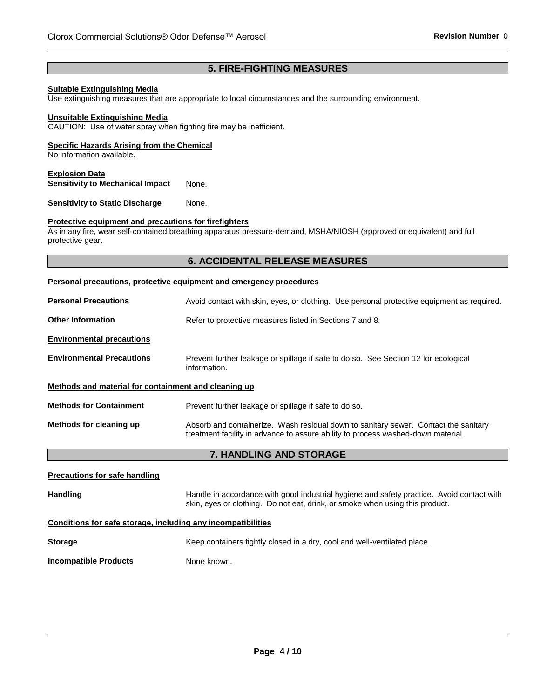# **5. FIRE-FIGHTING MEASURES**

#### **Suitable Extinguishing Media**

Use extinguishing measures that are appropriate to local circumstances and the surrounding environment.

#### **Unsuitable Extinguishing Media**

CAUTION: Use of water spray when fighting fire may be inefficient.

#### **Specific Hazards Arising from the Chemical**

No information available.

#### **Explosion Data**

**Sensitivity to Mechanical Impact** None.

**Sensitivity to Static Discharge Mone.** 

#### **Protective equipment and precautions for firefighters**

As in any fire, wear self-contained breathing apparatus pressure-demand, MSHA/NIOSH (approved or equivalent) and full protective gear.

#### **6. ACCIDENTAL RELEASE MEASURES**

#### **Personal precautions, protective equipment and emergency procedures**

| <b>Personal Precautions</b>                          | Avoid contact with skin, eyes, or clothing. Use personal protective equipment as required.                                                                              |  |  |
|------------------------------------------------------|-------------------------------------------------------------------------------------------------------------------------------------------------------------------------|--|--|
| <b>Other Information</b>                             | Refer to protective measures listed in Sections 7 and 8.                                                                                                                |  |  |
| <b>Environmental precautions</b>                     |                                                                                                                                                                         |  |  |
| <b>Environmental Precautions</b>                     | Prevent further leakage or spillage if safe to do so. See Section 12 for ecological<br>information.                                                                     |  |  |
| Methods and material for containment and cleaning up |                                                                                                                                                                         |  |  |
| <b>Methods for Containment</b>                       | Prevent further leakage or spillage if safe to do so.                                                                                                                   |  |  |
| Methods for cleaning up                              | Absorb and containerize. Wash residual down to sanitary sewer. Contact the sanitary<br>treatment facility in advance to assure ability to process washed-down material. |  |  |

# **7. HANDLING AND STORAGE**

# **Precautions for safe handling** Handling **Handle in accordance with good industrial hygiene and safety practice. Avoid contact with and safety practice.** skin, eyes or clothing. Do not eat, drink, or smoke when using this product. **Conditions for safe storage, including any incompatibilities Storage <b>K**eep containers tightly closed in a dry, cool and well-ventilated place. **Incompatible Products** None known.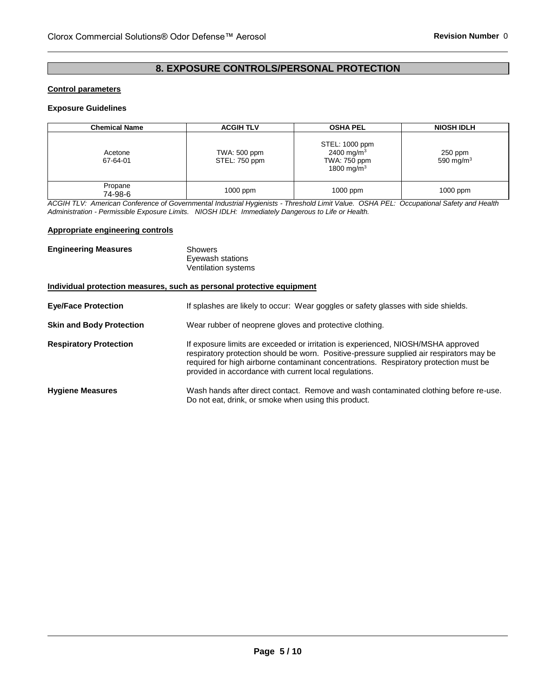# **8. EXPOSURE CONTROLS/PERSONAL PROTECTION**

#### **Control parameters**

#### **Exposure Guidelines**

| <b>Chemical Name</b> | <b>ACGIH TLV</b>              | <b>OSHA PEL</b>                                                                    | <b>NIOSH IDLH</b>       |
|----------------------|-------------------------------|------------------------------------------------------------------------------------|-------------------------|
| Acetone<br>67-64-01  | TWA: 500 ppm<br>STEL: 750 ppm | STEL: 1000 ppm<br>2400 mg/m <sup>3</sup><br>TWA: 750 ppm<br>1800 mg/m <sup>3</sup> | 250 ppm<br>590 mg/m $3$ |
| Propane<br>74-98-6   | 1000 ppm                      | $1000$ ppm                                                                         | $1000$ ppm              |

*ACGIH TLV: American Conference of Governmental Industrial Hygienists - Threshold Limit Value. OSHA PEL: Occupational Safety and Health Administration - Permissible Exposure Limits. NIOSH IDLH: Immediately Dangerous to Life or Health.*

#### **Appropriate engineering controls**

| <b>Engineering Measures</b>     | Showers<br>Eyewash stations<br><b>Ventilation systems</b>                                                                                                                                                                                                                                                                        |
|---------------------------------|----------------------------------------------------------------------------------------------------------------------------------------------------------------------------------------------------------------------------------------------------------------------------------------------------------------------------------|
|                                 | Individual protection measures, such as personal protective equipment                                                                                                                                                                                                                                                            |
| <b>Eye/Face Protection</b>      | If splashes are likely to occur: Wear goggles or safety glasses with side shields.                                                                                                                                                                                                                                               |
| <b>Skin and Body Protection</b> | Wear rubber of neoprene gloves and protective clothing.                                                                                                                                                                                                                                                                          |
| <b>Respiratory Protection</b>   | If exposure limits are exceeded or irritation is experienced, NIOSH/MSHA approved<br>respiratory protection should be worn. Positive-pressure supplied air respirators may be<br>required for high airborne contaminant concentrations. Respiratory protection must be<br>provided in accordance with current local regulations. |
| <b>Hygiene Measures</b>         | Wash hands after direct contact. Remove and wash contaminated clothing before re-use.<br>Do not eat, drink, or smoke when using this product.                                                                                                                                                                                    |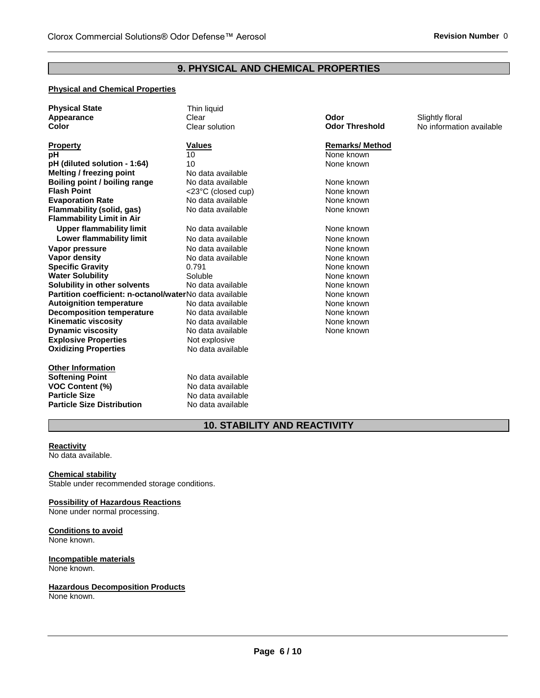# **9. PHYSICAL AND CHEMICAL PROPERTIES**

#### **Physical and Chemical Properties**

| <b>Physical State</b>                                   | Thin liquid           |                       |                          |
|---------------------------------------------------------|-----------------------|-----------------------|--------------------------|
| Appearance                                              | Clear                 | Odor                  | Slightly floral          |
| <b>Color</b>                                            | Clear solution        | <b>Odor Threshold</b> | No information available |
| <b>Property</b>                                         | <b>Values</b>         | <b>Remarks/Method</b> |                          |
| рH                                                      | 10                    | None known            |                          |
| pH (diluted solution - 1:64)                            | 10                    | None known            |                          |
| <b>Melting / freezing point</b>                         | No data available     |                       |                          |
| Boiling point / boiling range                           | No data available     | None known            |                          |
| <b>Flash Point</b>                                      | $<$ 23°C (closed cup) | None known            |                          |
| <b>Evaporation Rate</b>                                 | No data available     | None known            |                          |
| Flammability (solid, gas)                               | No data available     | None known            |                          |
| <b>Flammability Limit in Air</b>                        |                       |                       |                          |
| <b>Upper flammability limit</b>                         | No data available     | None known            |                          |
| <b>Lower flammability limit</b>                         | No data available     | None known            |                          |
| Vapor pressure                                          | No data available     | None known            |                          |
| <b>Vapor density</b>                                    | No data available     | None known            |                          |
| <b>Specific Gravity</b>                                 | 0.791                 | None known            |                          |
| <b>Water Solubility</b>                                 | Soluble               | None known            |                          |
| Solubility in other solvents                            | No data available     | None known            |                          |
| Partition coefficient: n-octanol/waterNo data available |                       | None known            |                          |
| <b>Autoignition temperature</b>                         | No data available     | None known            |                          |
| <b>Decomposition temperature</b>                        | No data available     | None known            |                          |
| <b>Kinematic viscosity</b>                              | No data available     | None known            |                          |
| <b>Dynamic viscosity</b>                                | No data available     | None known            |                          |
| <b>Explosive Properties</b>                             | Not explosive         |                       |                          |
| <b>Oxidizing Properties</b>                             | No data available     |                       |                          |
| <b>Other Information</b>                                |                       |                       |                          |
| <b>Softening Point</b>                                  | No data available     |                       |                          |
| <b>VOC Content (%)</b>                                  | No data available     |                       |                          |
| <b>Particle Size</b>                                    | No data available     |                       |                          |
| <b>Particle Size Distribution</b>                       | No data available     |                       |                          |

# **10. STABILITY AND REACTIVITY**

# **Reactivity**

No data available.

#### **Chemical stability** Stable under recommended storage conditions.

#### **Possibility of Hazardous Reactions** None under normal processing.

#### **Conditions to avoid** None known.

#### **Incompatible materials** None known.

# **Hazardous Decomposition Products**

None known.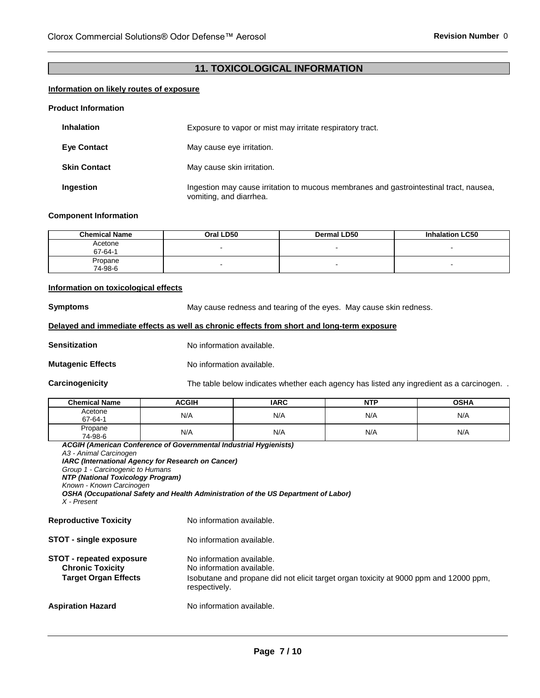# **11. TOXICOLOGICAL INFORMATION**

#### **Information on likely routes of exposure**

#### **Product Information**

| <b>Inhalation</b>   | Exposure to vapor or mist may irritate respiratory tract.                                                         |  |
|---------------------|-------------------------------------------------------------------------------------------------------------------|--|
| <b>Eve Contact</b>  | May cause eye irritation.                                                                                         |  |
| <b>Skin Contact</b> | May cause skin irritation.                                                                                        |  |
| Ingestion           | Ingestion may cause irritation to mucous membranes and gastrointestinal tract, nausea,<br>vomiting, and diarrhea. |  |

#### **Component Information**

| <b>Chemical Name</b> | Oral LD50 | <b>Dermal LD50</b> | <b>Inhalation LC50</b>   |
|----------------------|-----------|--------------------|--------------------------|
| Acetone<br>67-64-1   |           |                    |                          |
| Propane<br>74-98-6   |           | . .                | $\overline{\phantom{0}}$ |

#### **Information on toxicological effects**

**Symptoms May cause redness and tearing of the eyes. May cause skin redness.** 

#### **Delayed and immediate effects as well as chronic effects from short and long-term exposure**

**Sensitization No information available.** 

**Mutagenic Effects** No information available.

**Carcinogenicity** The table below indicates whether each agency has listed any ingredient as a carcinogen.

| <b>Chemical Name</b> | ACGIH | <b>IARC</b> | <b>NTP</b> | <b>OSHA</b> |
|----------------------|-------|-------------|------------|-------------|
| Acetone<br>67-64-1   | N/A   | N/A         | N/A        | N/A         |
| Propane<br>74-98-6   | N/A   | N/A         | N/A        | N/A         |

| A3 - Animal Carcinogen<br><b>IARC (International Agency for Research on Cancer)</b><br>Group 1 - Carcinogenic to Humans<br><b>NTP (National Toxicology Program)</b><br>Known - Known Carcinogen<br>X - Present | <b>ACGIH (American Conference of Governmental Industrial Hygienists)</b><br>OSHA (Occupational Safety and Health Administration of the US Department of Labor)   |
|----------------------------------------------------------------------------------------------------------------------------------------------------------------------------------------------------------------|------------------------------------------------------------------------------------------------------------------------------------------------------------------|
| <b>Reproductive Toxicity</b>                                                                                                                                                                                   | No information available.                                                                                                                                        |
| <b>STOT - single exposure</b>                                                                                                                                                                                  | No information available.                                                                                                                                        |
| STOT - repeated exposure<br><b>Chronic Toxicity</b><br><b>Target Organ Effects</b>                                                                                                                             | No information available.<br>No information available.<br>Isobutane and propane did not elicit target organ toxicity at 9000 ppm and 12000 ppm,<br>respectively. |
| Aspiration Hazard                                                                                                                                                                                              | No information available.                                                                                                                                        |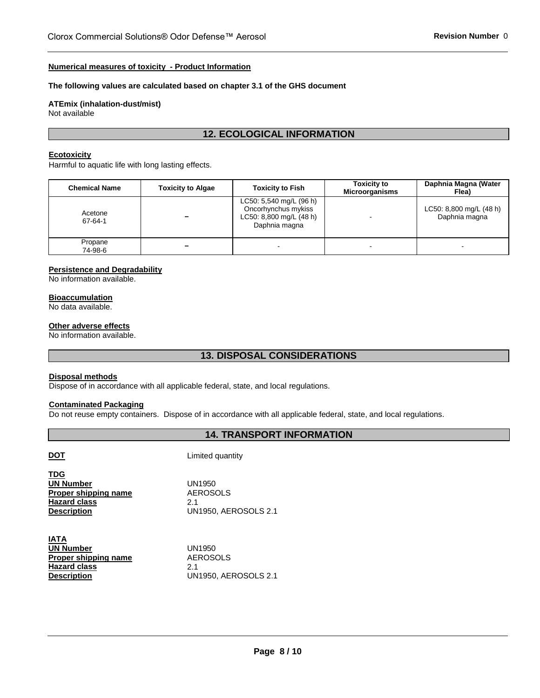#### **Numerical measures of toxicity - Product Information**

#### **The following values are calculated based on chapter 3.1 of the GHS document**

# **ATEmix (inhalation-dust/mist)**

Not available

# **12. ECOLOGICAL INFORMATION**

# **Ecotoxicity**

Harmful to aquatic life with long lasting effects.

| <b>Chemical Name</b> | <b>Toxicity to Algae</b> | <b>Toxicity to Fish</b>                                                                    | <b>Toxicity to</b><br><b>Microorganisms</b> | Daphnia Magna (Water<br>Flea)            |
|----------------------|--------------------------|--------------------------------------------------------------------------------------------|---------------------------------------------|------------------------------------------|
| Acetone<br>67-64-1   | -                        | LC50: 5,540 mg/L (96 h)<br>Oncorhynchus mykiss<br>LC50: 8,800 mg/L (48 h)<br>Daphnia magna |                                             | LC50: 8,800 mg/L (48 h)<br>Daphnia magna |
| Propane<br>74-98-6   | -                        | $\overline{\phantom{0}}$                                                                   | -                                           | $\overline{\phantom{0}}$                 |

#### **Persistence and Degradability**

No information available.

#### **Bioaccumulation**

No data available.

#### **Other adverse effects**

No information available.

# **13. DISPOSAL CONSIDERATIONS**

#### **Disposal methods**

Dispose of in accordance with all applicable federal, state, and local regulations.

# **Contaminated Packaging**

Do not reuse empty containers. Dispose of in accordance with all applicable federal, state, and local regulations.

# **14. TRANSPORT INFORMATION**

| ٠ |
|---|
|   |

**Limited quantity** 

| <b>TDG</b><br><b>UN Number</b><br><b>Proper shipping name</b><br><b>Hazard class</b><br><b>Description</b> | UN1950<br><b>AEROSOLS</b><br>21<br><b>UN1950, AEROSOLS 2.1</b> |  |  |
|------------------------------------------------------------------------------------------------------------|----------------------------------------------------------------|--|--|
| IATA                                                                                                       |                                                                |  |  |

UN1950 AEROSOLS 2.1 UN1950, AEROSOLS 2.1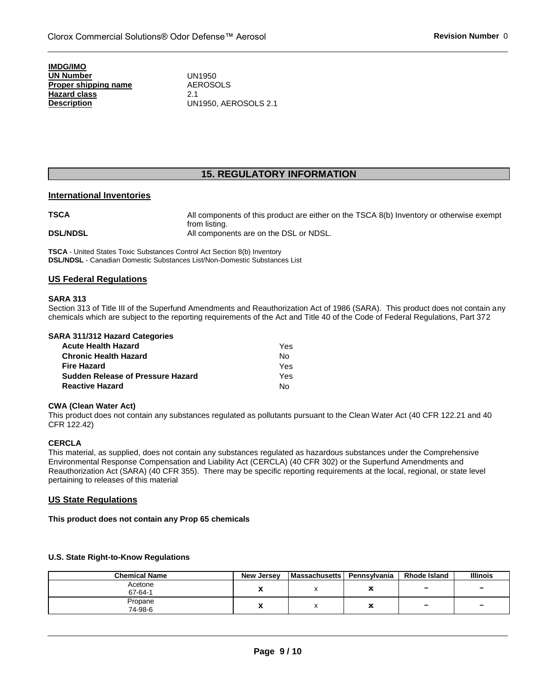**IMDG/IMO UN Number Proper shipping name Hazard class Description**

UN1950 AEROSOLS 2.1 UN1950, AEROSOLS 2.1

# **15. REGULATORY INFORMATION**

#### **International Inventories**

**TSCA All components of this product are either on the TSCA 8(b) Inventory or otherwise exempt** from listing. **DSL/NDSL All components are on the DSL or NDSL.** 

**TSCA** - United States Toxic Substances Control Act Section 8(b) Inventory **DSL/NDSL** - Canadian Domestic Substances List/Non-Domestic Substances List

#### **US Federal Regulations**

#### **SARA 313**

Section 313 of Title III of the Superfund Amendments and Reauthorization Act of 1986 (SARA). This product does not contain any chemicals which are subject to the reporting requirements of the Act and Title 40 of the Code of Federal Regulations, Part 372

| Yes |
|-----|
| No  |
| Yes |
| Yes |
| Nο  |
|     |

#### **CWA (Clean Water Act)**

This product does not contain any substances regulated as pollutants pursuant to the Clean Water Act (40 CFR 122.21 and 40 CFR 122.42)

#### **CERCLA**

This material, as supplied, does not contain any substances regulated as hazardous substances under the Comprehensive Environmental Response Compensation and Liability Act (CERCLA) (40 CFR 302) or the Superfund Amendments and Reauthorization Act (SARA) (40 CFR 355). There may be specific reporting requirements at the local, regional, or state level pertaining to releases of this material

#### **US State Regulations**

**This product does not contain any Prop 65 chemicals**

# **U.S. State Right-to-Know Regulations**

| <b>Chemical Name</b> | New Jersey | <b>Massachusetts</b> | Pennsylvania | <b>Rhode Island</b> | <b>Illinois</b> |
|----------------------|------------|----------------------|--------------|---------------------|-----------------|
| Acetone<br>67-64-1   |            |                      | x            | -                   | -               |
| Propane<br>74-98-6   |            |                      | x            | -                   | -               |